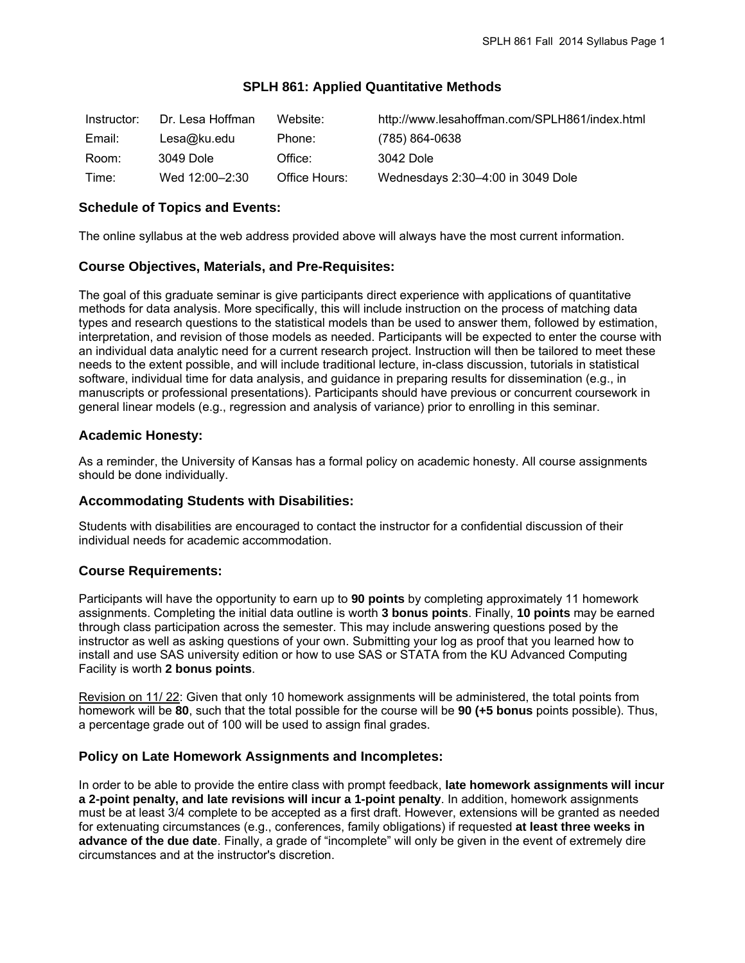### **SPLH 861: Applied Quantitative Methods**

| Instructor: | Dr. Lesa Hoffman | Website:      | http://www.lesahoffman.com/SPLH861/index.html |
|-------------|------------------|---------------|-----------------------------------------------|
| Email:      | Lesa@ku.edu      | Phone:        | (785) 864-0638                                |
| Room:       | 3049 Dole        | Office:       | 3042 Dole                                     |
| Time:       | Wed 12:00–2:30   | Office Hours: | Wednesdays 2:30-4:00 in 3049 Dole             |

## **Schedule of Topics and Events:**

The online syllabus at the web address provided above will always have the most current information.

### **Course Objectives, Materials, and Pre-Requisites:**

The goal of this graduate seminar is give participants direct experience with applications of quantitative methods for data analysis. More specifically, this will include instruction on the process of matching data types and research questions to the statistical models than be used to answer them, followed by estimation, interpretation, and revision of those models as needed. Participants will be expected to enter the course with an individual data analytic need for a current research project. Instruction will then be tailored to meet these needs to the extent possible, and will include traditional lecture, in-class discussion, tutorials in statistical software, individual time for data analysis, and guidance in preparing results for dissemination (e.g., in manuscripts or professional presentations). Participants should have previous or concurrent coursework in general linear models (e.g., regression and analysis of variance) prior to enrolling in this seminar.

### **Academic Honesty:**

As a reminder, the University of Kansas has a formal policy on academic honesty. All course assignments should be done individually.

#### **Accommodating Students with Disabilities:**

Students with disabilities are encouraged to contact the instructor for a confidential discussion of their individual needs for academic accommodation.

## **Course Requirements:**

Participants will have the opportunity to earn up to **90 points** by completing approximately 11 homework assignments. Completing the initial data outline is worth **3 bonus points**. Finally, **10 points** may be earned through class participation across the semester. This may include answering questions posed by the instructor as well as asking questions of your own. Submitting your log as proof that you learned how to install and use SAS university edition or how to use SAS or STATA from the KU Advanced Computing Facility is worth **2 bonus points**.

Revision on 11/ 22: Given that only 10 homework assignments will be administered, the total points from homework will be **80**, such that the total possible for the course will be **90 (+5 bonus** points possible). Thus, a percentage grade out of 100 will be used to assign final grades.

## **Policy on Late Homework Assignments and Incompletes:**

In order to be able to provide the entire class with prompt feedback, **late homework assignments will incur a 2-point penalty, and late revisions will incur a 1-point penalty**. In addition, homework assignments must be at least 3/4 complete to be accepted as a first draft. However, extensions will be granted as needed for extenuating circumstances (e.g., conferences, family obligations) if requested **at least three weeks in advance of the due date**. Finally, a grade of "incomplete" will only be given in the event of extremely dire circumstances and at the instructor's discretion.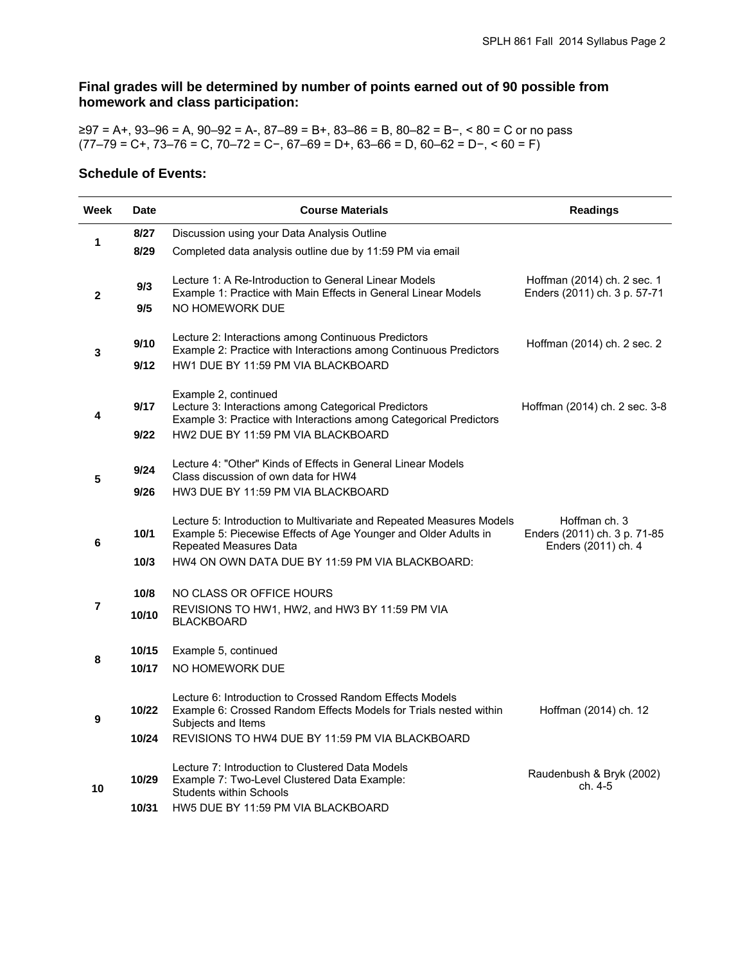# **Final grades will be determined by number of points earned out of 90 possible from homework and class participation:**

≥97 = A+, 93–96 = A, 90–92 = A-, 87–89 = B+, 83–86 = B, 80–82 = B−, < 80 = C or no pass (77–79 = C+, 73–76 = C, 70–72 = C−, 67–69 = D+, 63–66 = D, 60–62 = D−, < 60 = F)

## **Schedule of Events:**

| Week           | <b>Date</b> | <b>Course Materials</b>                                                                                                                                                  | <b>Readings</b>                                                      |
|----------------|-------------|--------------------------------------------------------------------------------------------------------------------------------------------------------------------------|----------------------------------------------------------------------|
| 1              | 8/27        | Discussion using your Data Analysis Outline                                                                                                                              |                                                                      |
|                | 8/29        | Completed data analysis outline due by 11:59 PM via email                                                                                                                |                                                                      |
| $\mathbf{2}$   | 9/3<br>9/5  | Lecture 1: A Re-Introduction to General Linear Models<br>Example 1: Practice with Main Effects in General Linear Models<br>NO HOMEWORK DUE                               | Hoffman (2014) ch. 2 sec. 1<br>Enders (2011) ch. 3 p. 57-71          |
|                |             |                                                                                                                                                                          |                                                                      |
| 3              | 9/10        | Lecture 2: Interactions among Continuous Predictors<br>Example 2: Practice with Interactions among Continuous Predictors                                                 | Hoffman (2014) ch. 2 sec. 2                                          |
|                | 9/12        | HW1 DUE BY 11:59 PM VIA BLACKBOARD                                                                                                                                       |                                                                      |
| 4              | 9/17        | Example 2, continued<br>Lecture 3: Interactions among Categorical Predictors<br>Example 3: Practice with Interactions among Categorical Predictors                       | Hoffman (2014) ch. 2 sec. 3-8                                        |
|                | 9/22        | HW2 DUE BY 11:59 PM VIA BLACKBOARD                                                                                                                                       |                                                                      |
| 5              | 9/24        | Lecture 4: "Other" Kinds of Effects in General Linear Models<br>Class discussion of own data for HW4                                                                     |                                                                      |
|                | 9/26        | HW3 DUE BY 11:59 PM VIA BLACKBOARD                                                                                                                                       |                                                                      |
| 6              | 10/1        | Lecture 5: Introduction to Multivariate and Repeated Measures Models<br>Example 5: Piecewise Effects of Age Younger and Older Adults in<br><b>Repeated Measures Data</b> | Hoffman ch. 3<br>Enders (2011) ch. 3 p. 71-85<br>Enders (2011) ch. 4 |
|                | 10/3        | HW4 ON OWN DATA DUE BY 11:59 PM VIA BLACKBOARD:                                                                                                                          |                                                                      |
| $\overline{7}$ | 10/8        | NO CLASS OR OFFICE HOURS                                                                                                                                                 |                                                                      |
|                | 10/10       | REVISIONS TO HW1, HW2, and HW3 BY 11:59 PM VIA<br><b>BLACKBOARD</b>                                                                                                      |                                                                      |
| 8              | 10/15       | Example 5, continued                                                                                                                                                     |                                                                      |
|                | 10/17       | NO HOMEWORK DUE                                                                                                                                                          |                                                                      |
| 9              | 10/22       | Lecture 6: Introduction to Crossed Random Effects Models<br>Example 6: Crossed Random Effects Models for Trials nested within<br>Subjects and Items                      | Hoffman (2014) ch. 12                                                |
|                | 10/24       | REVISIONS TO HW4 DUE BY 11:59 PM VIA BLACKBOARD                                                                                                                          |                                                                      |
| 10             | 10/29       | Lecture 7: Introduction to Clustered Data Models<br>Example 7: Two-Level Clustered Data Example:<br><b>Students within Schools</b>                                       | Raudenbush & Bryk (2002)<br>ch. 4-5                                  |
|                | 10/31       | HW5 DUE BY 11:59 PM VIA BLACKBOARD                                                                                                                                       |                                                                      |